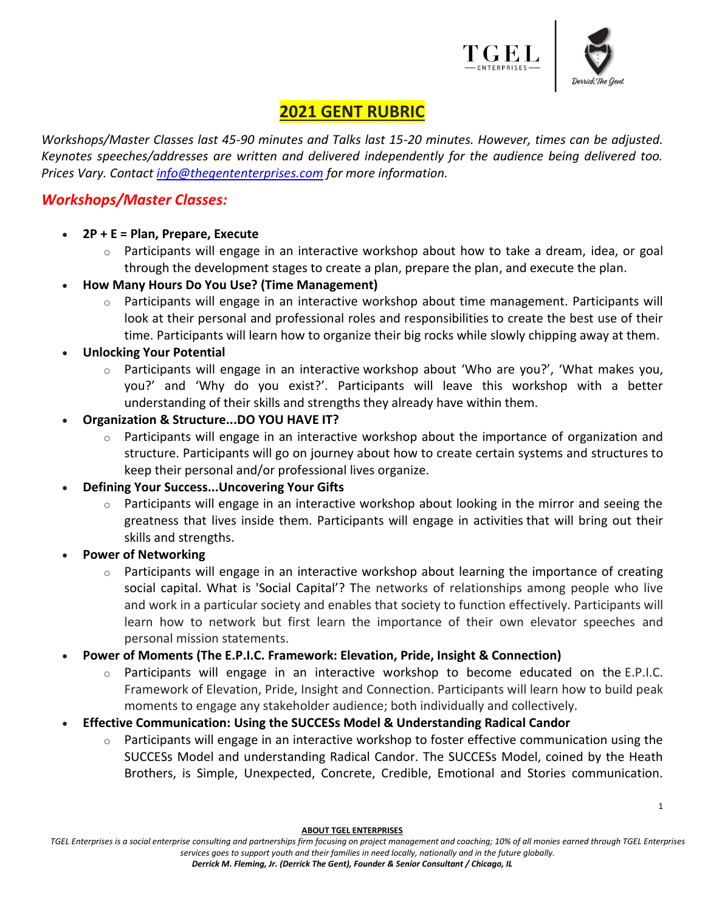



1

# **2021 GENT RUBRIC**

*Workshops/Master Classes last 45-90 minutes and Talks last 15-20 minutes. However, times can be adjusted. Keynotes speeches/addresses are written and delivered independently for the audience being delivered too. Prices Vary. Contact [info@thegententerprises.com](mailto:info@thegententerprises.com) for more information.*

### *Workshops/Master Classes:*

- **2P + E = Plan, Prepare, Execute**
	- $\circ$  Participants will engage in an interactive workshop about how to take a dream, idea, or goal through the development stages to create a plan, prepare the plan, and execute the plan.
- **How Many Hours Do You Use? (Time Management)**
	- $\circ$  Participants will engage in an interactive workshop about time management. Participants will look at their personal and professional roles and responsibilities to create the best use of their time. Participants will learn how to organize their big rocks while slowly chipping away at them.
- **Unlocking Your Potential**
	- $\circ$  Participants will engage in an interactive workshop about 'Who are you?', 'What makes you, you?' and 'Why do you exist?'. Participants will leave this workshop with a better understanding of their skills and strengths they already have within them.
- **Organization & Structure...DO YOU HAVE IT?**
	- o Participants will engage in an interactive workshop about the importance of organization and structure. Participants will go on journey about how to create certain systems and structures to keep their personal and/or professional lives organize.
- **Defining Your Success...Uncovering Your Gifts**
	- Participants will engage in an interactive workshop about looking in the mirror and seeing the greatness that lives inside them. Participants will engage in activities that will bring out their skills and strengths.
- **Power of Networking**
	- $\circ$  Participants will engage in an interactive workshop about learning the importance of creating social capital. What is 'Social Capital'? The networks of relationships among people who live and work in a particular society and enables that society to function effectively. Participants will learn how to network but first learn the importance of their own elevator speeches and personal mission statements.
- **Power of Moments (The E.P.I.C. Framework: Elevation, Pride, Insight & Connection)**
	- Participants will engage in an interactive workshop to become educated on the E.P.I.C. Framework of Elevation, Pride, Insight and Connection. Participants will learn how to build peak moments to engage any stakeholder audience; both individually and collectively.
- **Effective Communication: Using the SUCCESs Model & Understanding Radical Candor** 
	- Participants will engage in an interactive workshop to foster effective communication using the SUCCESs Model and understanding Radical Candor. The SUCCESs Model, coined by the Heath Brothers, is Simple, Unexpected, Concrete, Credible, Emotional and Stories communication.

**ABOUT TGEL ENTERPRISES**

*TGEL Enterprises is a social enterprise consulting and partnerships firm focusing on project management and coaching; 10% of all monies earned through TGEL Enterprises services goes to support youth and their families in need locally, nationally and in the future globally.*

*Derrick M. Fleming, Jr. (Derrick The Gent), Founder & Senior Consultant / Chicago, IL*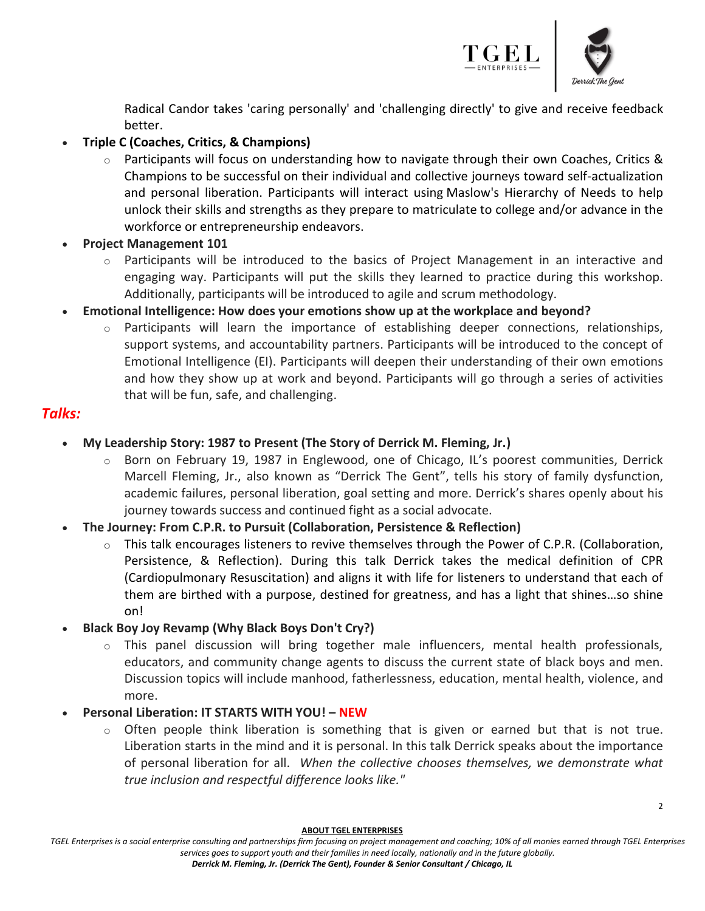

2

Radical Candor takes 'caring personally' and 'challenging directly' to give and receive feedback better.

#### • **Triple C (Coaches, Critics, & Champions)**

- $\circ$  Participants will focus on understanding how to navigate through their own Coaches, Critics & Champions to be successful on their individual and collective journeys toward self-actualization and personal liberation. Participants will interact using Maslow's Hierarchy of Needs to help unlock their skills and strengths as they prepare to matriculate to college and/or advance in the workforce or entrepreneurship endeavors.
- **Project Management 101**
	- $\circ$  Participants will be introduced to the basics of Project Management in an interactive and engaging way. Participants will put the skills they learned to practice during this workshop. Additionally, participants will be introduced to agile and scrum methodology.
- **Emotional Intelligence: How does your emotions show up at the workplace and beyond?**
	- Participants will learn the importance of establishing deeper connections, relationships, support systems, and accountability partners. Participants will be introduced to the concept of Emotional Intelligence (EI). Participants will deepen their understanding of their own emotions and how they show up at work and beyond. Participants will go through a series of activities that will be fun, safe, and challenging.

#### *Talks:*

- **My Leadership Story: 1987 to Present (The Story of Derrick M. Fleming, Jr.)**
	- o Born on February 19, 1987 in Englewood, one of Chicago, IL's poorest communities, Derrick Marcell Fleming, Jr., also known as "Derrick The Gent", tells his story of family dysfunction, academic failures, personal liberation, goal setting and more. Derrick's shares openly about his journey towards success and continued fight as a social advocate.
- **The Journey: From C.P.R. to Pursuit (Collaboration, Persistence & Reflection)**
	- o This talk encourages listeners to revive themselves through the Power of C.P.R. (Collaboration, Persistence, & Reflection). During this talk Derrick takes the medical definition of CPR (Cardiopulmonary Resuscitation) and aligns it with life for listeners to understand that each of them are birthed with a purpose, destined for greatness, and has a light that shines…so shine on!
- **Black Boy Joy Revamp (Why Black Boys Don't Cry?)**
	- o This panel discussion will bring together male influencers, mental health professionals, educators, and community change agents to discuss the current state of black boys and men. Discussion topics will include manhood, fatherlessness, education, mental health, violence, and more.
- **Personal Liberation: IT STARTS WITH YOU! – NEW**
	- $\circ$  Often people think liberation is something that is given or earned but that is not true. Liberation starts in the mind and it is personal. In this talk Derrick speaks about the importance of personal liberation for all. *When the collective chooses themselves, we demonstrate what true inclusion and respectful difference looks like."*

**ABOUT TGEL ENTERPRISES**

*TGEL Enterprises is a social enterprise consulting and partnerships firm focusing on project management and coaching; 10% of all monies earned through TGEL Enterprises services goes to support youth and their families in need locally, nationally and in the future globally.*